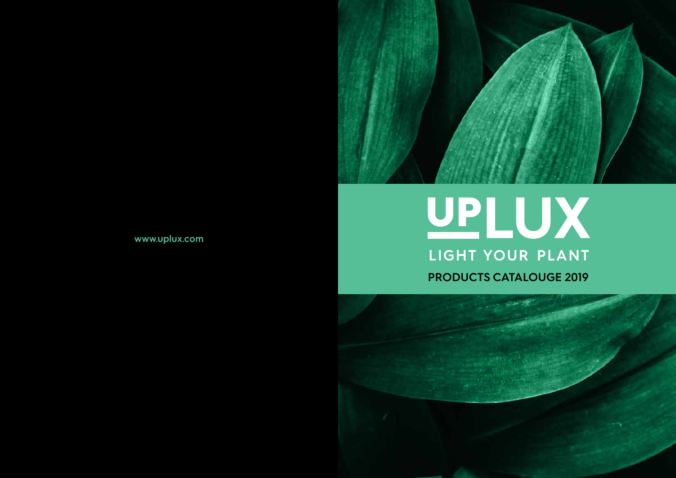### www.uplux.com



# UPLUX LIGHT YOUR PLANT **PRODUCTS CATALOUGE 2019**



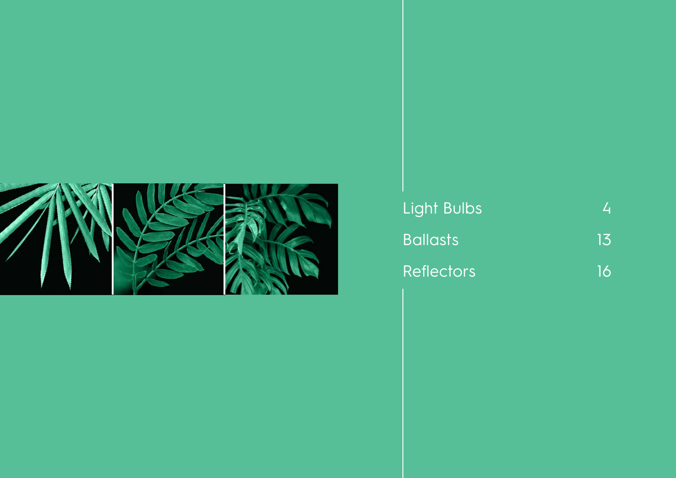

Light Bulbs Ballasts 13 Reflectors 16

4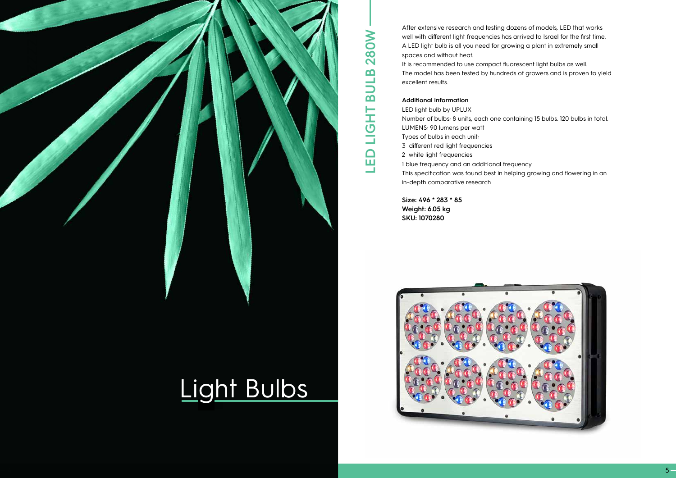After extensive research and testing dozens of models, LED that works well with different light frequencies has arrived to Israel for the first time. A LED light bulb is all you need for growing a plant in extremely small spaces and without heat.

It is recommended to use compact fluorescent light bulbs as well. The model has been tested by hundreds of growers and is proven to yield excellent results.



#### **Additional information**

LED light bulb by UPLUX Number of bulbs: 8 units, each one containing 15 bulbs. 120 bulbs in total. LUMENS: 90 lumens per watt Types of bulbs in each unit: 3 different red light frequencies 2 white light frequencies 1 blue frequency and an additional frequency This specification was found best in helping growing and flowering in an in-depth comparative research

**Size: 496 \* 283 \* 85 Weight: 6.05 kg SKU: 1070280**

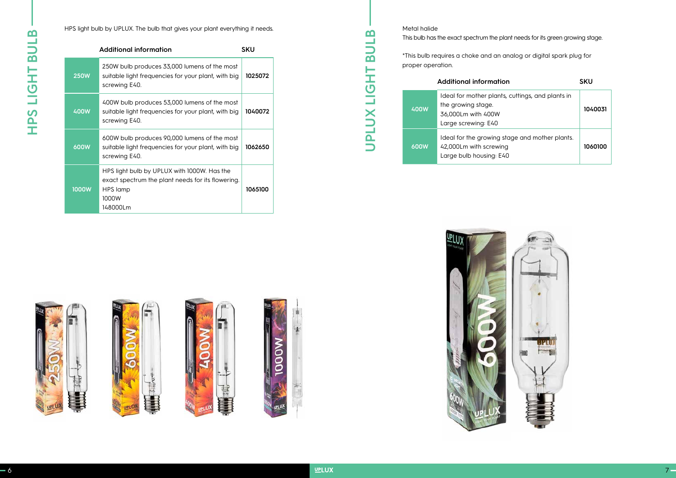HPS light bulb by UPLUX. The bulb that gives your plant everything it needs.

| <b>Additional information</b> | <b>SKU</b>                                                                                                                        |         |
|-------------------------------|-----------------------------------------------------------------------------------------------------------------------------------|---------|
| <b>250W</b>                   | 250W bulb produces 33,000 lumens of the most<br>suitable light frequencies for your plant, with big<br>screwing E40.              | 1025072 |
| <b>400W</b>                   | 400W bulb produces 53,000 lumens of the most<br>suitable light frequencies for your plant, with big<br>screwing E40.              | 1040072 |
| 600W                          | 600W bulb produces 90,000 lumens of the most<br>suitable light frequencies for your plant, with big<br>screwing E40.              | 1062650 |
| <b>1000W</b>                  | HPS light bulb by UPLUX with 1000W. Has the<br>exact spectrum the plant needs for its flowering.<br>HPS lamp<br>1000W<br>148000Lm | 1065100 |

This bulb has the exact spectrum the plant needs for its green growing stage.

\*This bulb requires a choke and an analog or digital spark plug for



Metal halide proper operation. **400W 600W**

|   | <b>Additional information</b><br><b>SKU</b>                                                                         |         |  |
|---|---------------------------------------------------------------------------------------------------------------------|---------|--|
| W | Ideal for mother plants, cuttings, and plants in<br>the growing stage.<br>36,000Lm with 400W<br>Large screwing: E40 | 1040031 |  |
| W | Ideal for the growing stage and mother plants.<br>42,000Lm with screwing<br>Large bulb housing: E40                 | 1060100 |  |











**UPLUX LIGHT BULB**

UPLUX LIGHT BULB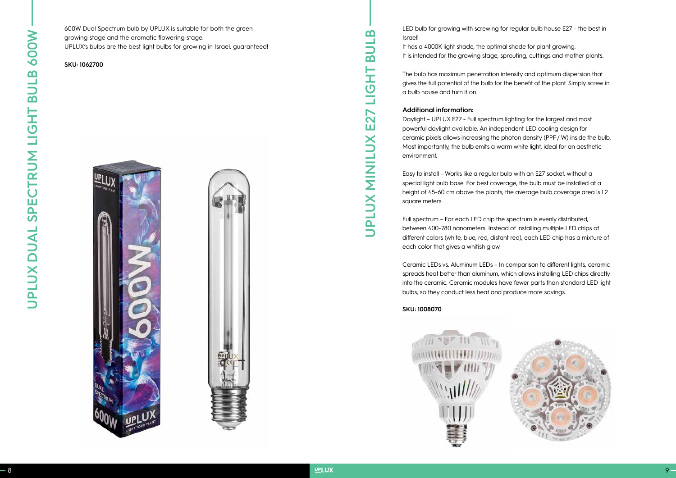600W Dual Spectrum bulb by UPLUX is suitable for both the green growing stage and the aromatic flowering stage. UPLUX's bulbs are the best light bulbs for growing in Israel, guaranteed!

**SKU: 1062700**





LED bulb for growing with screwing for regular bulb house E27 – the best in Israel!

It has a 4000K light shade, the optimal shade for plant growing. It is intended for the growing stage, sprouting, cuttings and mother plants.

The bulb has maximum penetration intensity and optimum dispersion that gives the full potential of the bulb for the benefit of the plant. Simply screw in a bulb house and turn it on.

#### **Additional information:**

Daylight – UPLUX E27 - Full spectrum lighting for the largest and most powerful daylight available. An independent LED cooling design for ceramic pixels allows increasing the photon density (PPF / W) inside the bulb. Most importantly, the bulb emits a warm white light, ideal for an aesthetic environment.

Easy to install – Works like a regular bulb with an E27 socket, without a special light bulb base. For best coverage, the bulb must be installed at a height of 45-60 cm above the plants, the average bulb coverage area is 1.2 square meters.

Full spectrum – For each LED chip the spectrum is evenly distributed, between 400-780 nanometers. Instead of installing multiple LED chips of different colors (white, blue, red, distant red), each LED chip has a mixture of each color that gives a whitish glow.

Ceramic LEDs vs. Aluminum LEDs – In comparison to different lights, ceramic spreads heat better than aluminum, which allows installing LED chips directly into the ceramic. Ceramic modules have fewer parts than standard LED light bulbs, so they conduct less heat and produce more savings.

#### **SKU: 1008070**





**UPLUX MINILUX E27 LIGHT BULB**

PLUX MINILUX

 $\Box$ 

E27

 $\mathbf{m}$ 

 $\mathbf{m}$ 

눈

 $\overline{\mathbf{O}}$ Ě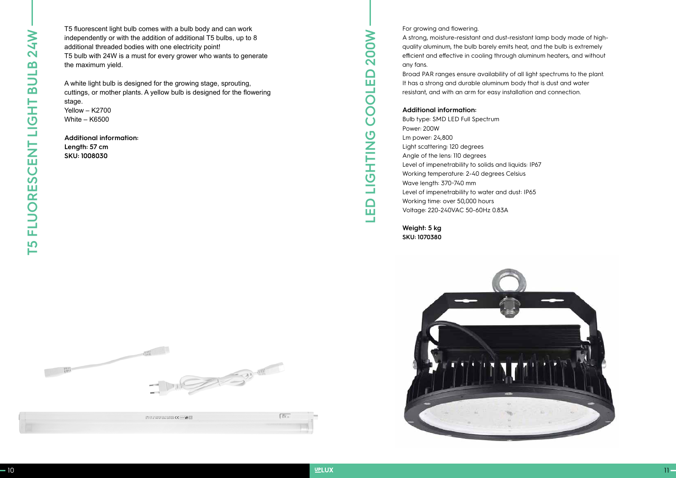T5 fluorescent light bulb comes with a bulb body and can work independently or with the addition of additional T5 bulbs, up to 8 additional threaded bodies with one electricity point! T5 bulb with 24W is a must for every grower who wants to generate the maximum yield.

A white light bulb is designed for the growing stage, sprouting, cuttings, or mother plants. A yellow bulb is designed for the flowering stage. Yellow – K2700

White – K6500

**Additional information: Length: 57 cm SKU: 1008030**

For growing and flowering.

A strong, moisture-resistant and dust-resistant lamp body made of highquality aluminum, the bulb barely emits heat, and the bulb is extremely efficient and effective in cooling through aluminum heaters, and without any fans.

Broad PAR ranges ensure availability of all light spectrums to the plant. It has a strong and durable aluminum body that is dust and water resistant, and with an arm for easy installation and connection.

#### **Additional information:**

Bulb type: SMD LED Full Spectrum Power: 200W Lm power: 24,800 Light scattering: 120 degrees Angle of the lens: 110 degrees Level of impenetrability to solids and liquids: IP67 Working temperature: 2-40 degrees Celsius Wave length: 370~740 mm Level of impenetrability to water and dust: IP65 Working time: over 50,000 hours Voltage: 220-240VAC 50-60Hz 0.83A

**Weight: 5 kg SKU: 1070380**





| UPLUX FEDERATION DISORDERS CE PAPA CO |  |
|---------------------------------------|--|
|                                       |  |

**LED LIGHTING COOLED 200W**

**ONITHS** 

Ě

 $\Box$ ш

**NO** 

20

 $\Box$ ш

 $\overline{\mathsf{L}}$ 

 $\overline{O}$  $\overline{O}$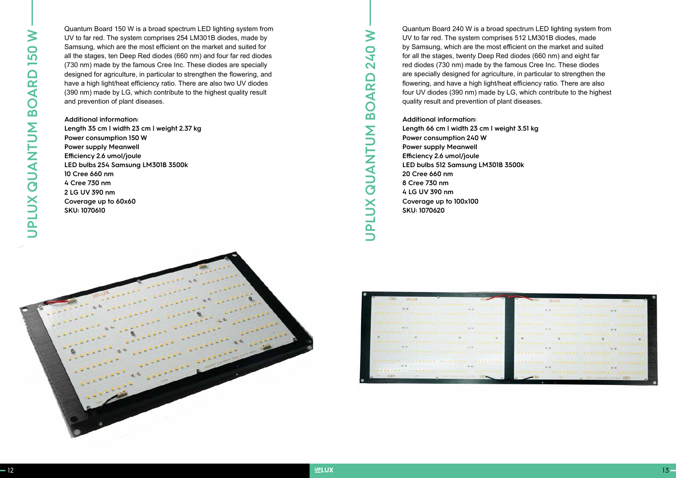

Quantum Board 150 W is a broad spectrum LED lighting system from UV to far red. The system comprises 254 LM301B diodes, made by Samsung, which are the most efficient on the market and suited for all the stages, ten Deep Red diodes (660 nm) and four far red diodes (730 nm) made by the famous Cree Inc. These diodes are specially designed for agriculture, in particular to strengthen the flowering, and have a high light/heat efficiency ratio. There are also two UV diodes (390 nm) made by LG, which contribute to the highest quality result and prevention of plant diseases.

**Additional information: Length 35 cm | width 23 cm | weight 2.37 kg Power consumption 150 W Power supply Meanwell Efficiency 2.6 umol/joule LED bulbs 254 Samsung LM301B 3500k 10 Cree 660 nm 4 Cree 730 nm 2 LG UV 390 nm Coverage up to 60x60 SKU: 1070610**

Quantum Board 240 W is a broad spectrum LED lighting system from UV to far red. The system comprises 512 LM301B diodes, made by Samsung, which are the most efficient on the market and suited for all the stages, twenty Deep Red diodes (660 nm) and eight far red diodes (730 nm) made by the famous Cree Inc. These diodes are specially designed for agriculture, in particular to strengthen the flowering, and have a high light/heat efficiency ratio. There are also four UV diodes (390 nm) made by LG, which contribute to the highest quality result and prevention of plant diseases.

**Additional information: Length 66 cm | width 23 cm | weight 3.51 kg Power consumption 240 W Power supply Meanwell Efficiency 2.6 umol/joule LED bulbs 512 Samsung LM301B 3500k 20 Cree 660 nm 8 Cree 730 nm 4 LG UV 390 nm Coverage up to 100x100 SKU: 1070620**

|          | <b><i><b>BRANNAE</b></i></b><br><b><i>B B B B B B B B B</i></b> | <b><i>SERVICE ELECT</i></b><br>--------- |                | <b><i>BRANNA</i></b>          |  |
|----------|-----------------------------------------------------------------|------------------------------------------|----------------|-------------------------------|--|
|          |                                                                 |                                          |                |                               |  |
|          | <b></b>                                                         | <b>BARRADEK</b>                          |                | <b><i>BREAKASH</i></b>        |  |
| .        | $-0$<br><b>*******</b>                                          |                                          | <b>Britain</b> | <b><i>BACK # BACK</i></b>     |  |
| ******** | <b>.</b>                                                        | --                                       |                |                               |  |
| <b></b>  | <b>CARL CAR</b>                                                 |                                          | $-0.74$        |                               |  |
|          |                                                                 | <b><i>SHEER</i> B B B B</b>              |                | <b><i><u>BREEZHEE</u></i></b> |  |
|          | <b><i><u>PARKER</u></i></b><br><b>GENERAL BERGE</b>             | <b>A 12 &amp; B &amp; W A 31</b>         |                | <b>NTILAAA</b>                |  |
|          | <b><i><u>ARAAHA</u></i></b>                                     | 3 4 3 4 5 6 5 6 5                        |                |                               |  |

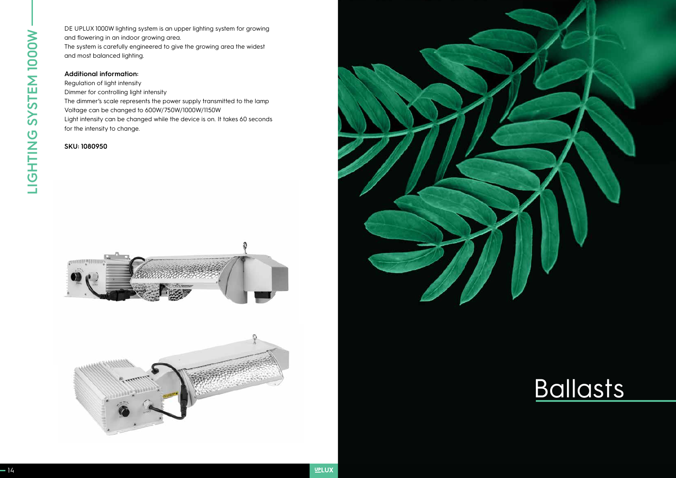DE UPLUX 1000W lighting system is an upper lighting system for growing and flowering in an indoor growing area. The system is carefully engineered to give the growing area the widest and most balanced lighting.

#### **Additional information:**

Regulation of light intensity Dimmer for controlling light intensity The dimmer's scale represents the power supply transmitted to the lamp Voltage can be changed to 600W/750W/1000W/1150W Light intensity can be changed while the device is on. It takes 60 seconds for the intensity to change.

#### **SKU: 1080950**







## Ballasts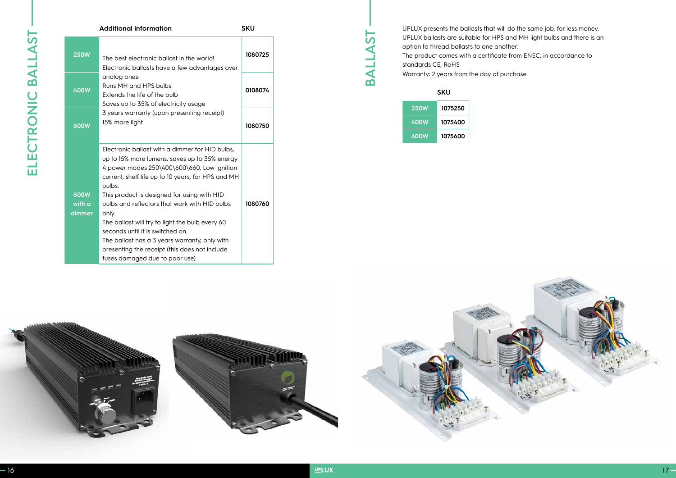| <b>Additional information</b><br><b>SKU</b> |                                                                                                                                                                                                                                                                                                                                                                                                                                                                                                                                                     |         |
|---------------------------------------------|-----------------------------------------------------------------------------------------------------------------------------------------------------------------------------------------------------------------------------------------------------------------------------------------------------------------------------------------------------------------------------------------------------------------------------------------------------------------------------------------------------------------------------------------------------|---------|
| <b>250W</b>                                 | The best electronic ballast in the world!<br>Electronic ballasts have a few advantages over<br>analog ones:<br>Runs MH and HPS bulbs<br>Extends the life of the bulb<br>Saves up to 35% of electricity usage<br>3 years warranty (upon presenting receipt)<br>15% more light                                                                                                                                                                                                                                                                        | 1080725 |
| <b>400W</b>                                 |                                                                                                                                                                                                                                                                                                                                                                                                                                                                                                                                                     | 0108074 |
| 600W                                        |                                                                                                                                                                                                                                                                                                                                                                                                                                                                                                                                                     | 1080750 |
| 600W<br>with a<br>dimmer                    | Electronic ballast with a dimmer for HID bulbs,<br>up to 15% more lumens, saves up to 35% energy<br>4 power modes 250\400\600\660, Low ignition<br>current, shelf life up to 10 years, for HPS and MH<br>bulbs.<br>This product is designed for using with HID<br>bulbs and reflectors that work with HID bulbs<br>only.<br>The ballast will try to light the bulb every 60<br>seconds until it is switched on.<br>The ballast has a 3 years warranty, only with<br>presenting the receipt (this does not include<br>fuses damaged due to poor use) | 1080760 |

**SKU**

| <b>250W</b> | 1075250 |
|-------------|---------|
| 400W        | 1075400 |
| 600W        | 1075600 |

UPLUX presents the ballasts that will do the same job, for less money. UPLUX ballasts are suitable for HPS and MH light bulbs and there is an option to thread ballasts to one another. The product comes with a certificate from ENEC, in accordance to standards CE, RoHS Warranty: 2 years from the day of purchase

**BALLAST**

BALLAST

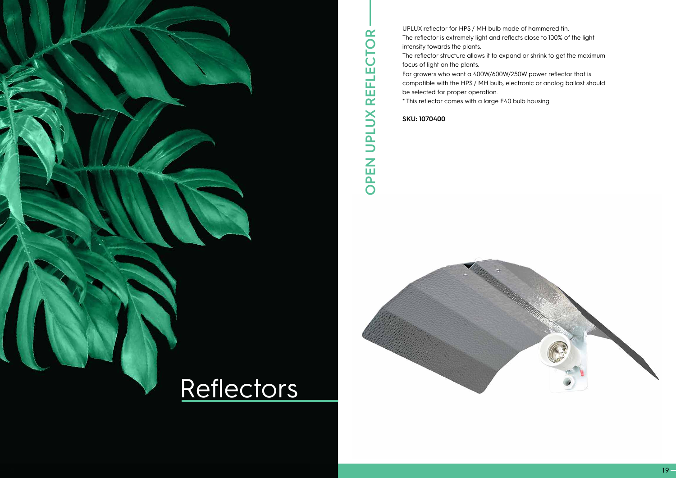

UPLUX reflector for HPS / MH bulb made of hammered tin. The reflector is extremely light and reflects close to 100% of the light intensity towards the plants. The reflector structure allows it to expand or shrink to get the maximum focus of light on the plants. For growers who want a 400W/600W/250W power reflector that is compatible with the HPS / MH bulb, electronic or analog ballast should be selected for proper operation.

\* This reflector comes with a large E40 bulb housing

**SKU: 1070400**

**OPEN UPLUX REFLECTOR**